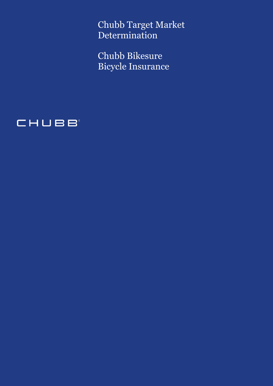Chubb Target Market Determination

Chubb Bikesure Bicycle Insurance

# CHUBB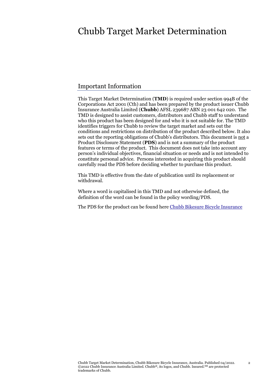## Chubb Target Market Determination

### Important Information

This Target Market Determination (**TMD**) is required under section 994B of the Corporations Act 2001 (Cth) and has been prepared by the product issuer Chubb Insurance Australia Limited (**Chubb**) AFSL 239687 ABN 23 001 642 020. The TMD is designed to assist customers, distributors and Chubb staff to understand who this product has been designed for and who it is not suitable for. The TMD identifies triggers for Chubb to review the target market and sets out the conditions and restrictions on distribution of the product described below. It also sets out the reporting obligations of Chubb's distributors. This document is not a Product Disclosure Statement (**PDS**) and is not a summary of the product features or terms of the product. This document does not take into account any person's individual objectives, financial situation or needs and is not intended to constitute personal advice. Persons interested in acquiring this product should carefully read the PDS before deciding whether to purchase this product.

This TMD is effective from the date of publication until its replacement or withdrawal.

Where a word is capitalised in this TMD and not otherwise defined, the definition of the word can be found in the policy wording/PDS.

The PDS for the product can be found here [Chubb Bikesure Bicycle Insurance](https://www.bikesure.com/wp-content/uploads/Bikesure-Sport-PDS.pdf)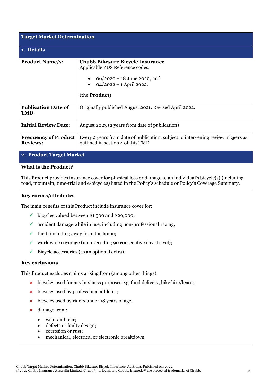| <b>Target Market Determination</b>             |                                                                                                                                                                   |  |
|------------------------------------------------|-------------------------------------------------------------------------------------------------------------------------------------------------------------------|--|
| 1. Details                                     |                                                                                                                                                                   |  |
| <b>Product Name/s:</b>                         | <b>Chubb Bikesure Bicycle Insurance</b><br>Applicable PDS Reference codes:<br>$06/2020 - 18$ June 2020; and<br>$04/2022 - 1$ April 2022.<br>(the <b>Product</b> ) |  |
| <b>Publication Date of</b><br>TMD:             | Originally published August 2021. Revised April 2022.                                                                                                             |  |
| <b>Initial Review Date:</b>                    | August 2023 (2 years from date of publication)                                                                                                                    |  |
| <b>Frequency of Product</b><br><b>Reviews:</b> | Every 2 years from date of publication, subject to intervening review triggers as<br>outlined in section 4 of this TMD                                            |  |
| 2. Product Target Market                       |                                                                                                                                                                   |  |

#### **What is the Product?**

This Product provides insurance cover for physical loss or damage to an individual's bicycle(s) (including, road, mountain, time-trial and e-bicycles) listed in the Policy's schedule or Policy's Coverage Summary.

#### **Key covers/attributes**

The main benefits of this Product include insurance cover for:

- $\checkmark$  bicycles valued between \$1,500 and \$20,000;
- $\checkmark$  accident damage while in use, including non-professional racing;
- $\checkmark$  theft, including away from the home;
- $\checkmark$  worldwide coverage (not exceeding 90 consecutive days travel);
- $\checkmark$  Bicycle accessories (as an optional extra).

#### **Key exclusions**

This Product excludes claims arising from (among other things):

- **×** bicycles used for any business purposes e.g. food delivery, bike hire/lease;
- **×** bicycles used by professional athletes;
- **×** bicycles used by riders under 18 years of age.
- **×** damage from:
	- wear and tear:
	- defects or faulty design;
	- corrosion or rust;
	- mechanical, electrical or electronic breakdown.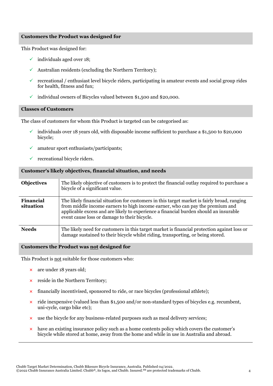#### **Customers the Product was designed for**

This Product was designed for:

- $\checkmark$  individuals aged over 18;
- $\checkmark$  Australian residents (excluding the Northern Territory);
- $\checkmark$  recreational / enthusiast level bicycle riders, participating in amateur events and social group rides for health, fitness and fun;
- $\checkmark$  individual owners of Bicycles valued between \$1,500 and \$20,000.

#### **Classes of Customers**

The class of customers for whom this Product is targeted can be categorised as:

- $\checkmark$  individuals over 18 years old, with disposable income sufficient to purchase a \$1,500 to \$20,000 bicycle;
- $\checkmark$  amateur sport enthusiasts/participants;
- $\checkmark$  recreational bicycle riders.

#### **Customer's likely objectives, financial situation, and needs**

| <b>Objectives</b>      | The likely objective of customers is to protect the financial outlay required to purchase a<br>bicycle of a significant value.                                                                                                                                                                                        |
|------------------------|-----------------------------------------------------------------------------------------------------------------------------------------------------------------------------------------------------------------------------------------------------------------------------------------------------------------------|
| Financial<br>situation | The likely financial situation for customers in this target market is fairly broad, ranging<br>from middle income earners to high income earner, who can pay the premium and<br>applicable excess and are likely to experience a financial burden should an insurable<br>event cause loss or damage to their bicycle. |
| <b>Needs</b>           | The likely need for customers in this target market is financial protection against loss or<br>damage sustained to their bicycle whilst riding, transporting, or being stored.                                                                                                                                        |

#### **Customers the Product was not designed for**

This Product is not suitable for those customers who:

- **×** are under 18 years old;
- **×** reside in the Northern Territory;
- **×** financially incentivised, sponsored to ride, or race bicycles (professional athlete);
- **×** ride inexpensive (valued less than \$1,500 and/or non-standard types of bicycles e.g. recumbent, uni-cycle, cargo bike etc);
- **×** use the bicycle for any business-related purposes such as meal delivery services;
- **×** have an existing insurance policy such as a home contents policy which covers the customer's bicycle while stored at home, away from the home and while in use in Australia and abroad.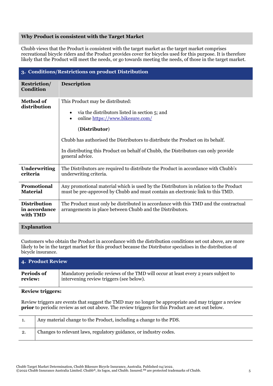#### **Why Product is consistent with the Target Market**

Chubb views that the Product is consistent with the target market as the target market comprises recreational bicycle riders and the Product provides cover for bicycles used for this purpose. It is therefore likely that the Product will meet the needs, or go towards meeting the needs, of those in the target market.

| 3. Conditions/Restrictions on product Distribution |                                                                                                                                                                                                                                                                                                                                                             |  |
|----------------------------------------------------|-------------------------------------------------------------------------------------------------------------------------------------------------------------------------------------------------------------------------------------------------------------------------------------------------------------------------------------------------------------|--|
| <b>Restriction/</b><br><b>Condition</b>            | <b>Description</b>                                                                                                                                                                                                                                                                                                                                          |  |
| <b>Method of</b><br>distribution                   | This Product may be distributed:<br>via the distributors listed in section 5; and<br>$\bullet$<br>online https://www.bikesure.com/<br>$\bullet$<br>(Distributor)<br>Chubb has authorised the Distributors to distribute the Product on its behalf.<br>In distributing this Product on behalf of Chubb, the Distributors can only provide<br>general advice. |  |
| <b>Underwriting</b><br>criteria                    | The Distributors are required to distribute the Product in accordance with Chubb's<br>underwriting criteria.                                                                                                                                                                                                                                                |  |
| Promotional<br><b>Material</b>                     | Any promotional material which is used by the Distributors in relation to the Product<br>must be pre-approved by Chubb and must contain an electronic link to this TMD.                                                                                                                                                                                     |  |
| <b>Distribution</b><br>in accordance<br>with TMD   | The Product must only be distributed in accordance with this TMD and the contractual<br>arrangements in place between Chubb and the Distributors.                                                                                                                                                                                                           |  |
| <b>Explanation</b>                                 |                                                                                                                                                                                                                                                                                                                                                             |  |

Customers who obtain the Product in accordance with the distribution conditions set out above, are more likely to be in the target market for this product because the Distributor specialises in the distribution of bicycle insurance.

| <b>4. Product Review</b> |                                                                                    |  |
|--------------------------|------------------------------------------------------------------------------------|--|
| Periods of               | Mandatory periodic reviews of the TMD will occur at least every 2 years subject to |  |
| review:                  | intervening review triggers (see below).                                           |  |

#### **Review triggers:**

Review triggers are events that suggest the TMD may no longer be appropriate and may trigger a review **prior** to periodic review as set out above. The review triggers for this Product are set out below.

|    | Any material change to the Product, including a change to the PDS. |
|----|--------------------------------------------------------------------|
| 2. | Changes to relevant laws, regulatory guidance, or industry codes.  |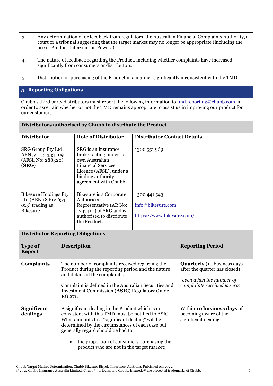| 3.                       | Any determination of or feedback from regulators, the Australian Financial Complaints Authority, a<br>court or a tribunal suggesting that the target market may no longer be appropriate (including the<br>use of Product Intervention Powers). |  |
|--------------------------|-------------------------------------------------------------------------------------------------------------------------------------------------------------------------------------------------------------------------------------------------|--|
| 4.                       | The nature of feedback regarding the Product, including whether complaints have increased<br>significantly from consumers or distributors.                                                                                                      |  |
| .5.                      | Distribution or purchasing of the Product in a manner significantly inconsistent with the TMD.                                                                                                                                                  |  |
| 5. Reporting Obligations |                                                                                                                                                                                                                                                 |  |

Chubb's third party distributors must report the following information to  $\underline{tmd.reporting@chubb.com}$  in order to ascertain whether or not the TMD remains appropriate to assist us in improving our product for our customers.

| <b>Distributor</b>                                                                        | <b>Role of Distributor</b>                                                                                                                                            | <b>Distributor Contact Details</b>                             |
|-------------------------------------------------------------------------------------------|-----------------------------------------------------------------------------------------------------------------------------------------------------------------------|----------------------------------------------------------------|
| <b>SRG Group Pty Ltd</b><br>ABN 52 113 333 109<br>(AFSL No: 288320)<br>(SRG)              | SRG is an insurance<br>broker acting under its<br>own Australian<br><b>Financial Services</b><br>Licence (AFSL), under a<br>binding authority<br>agreement with Chubb | 1300 551 969                                                   |
| <b>Bikesure Holdings Pty</b><br>Ltd (ABN 18 612 653<br>013) trading as<br><b>Bikesure</b> | Bikesure is a Corporate<br>Authorised<br>Representative (AR No:<br>1247410) of SRG and is<br>authorised to distribute<br>the Product.                                 | 1300 441 543<br>info@bikesure.com<br>https://www.bikesure.com/ |

#### **Distributors authorised by Chubb to distribute the Product**

### **Distributor Reporting Obligations**

| <b>Type of</b><br><b>Report</b> | <b>Description</b>                                                                                                                                                                                                                                                                                                                                           | <b>Reporting Period</b>                                                                                                         |
|---------------------------------|--------------------------------------------------------------------------------------------------------------------------------------------------------------------------------------------------------------------------------------------------------------------------------------------------------------------------------------------------------------|---------------------------------------------------------------------------------------------------------------------------------|
| <b>Complaints</b>               | The number of complaints received regarding the<br>Product during the reporting period and the nature<br>and details of the complaints.<br>Complaint is defined in the Australian Securities and<br><b>Investment Commission (ASIC) Regulatory Guide</b><br>RG 271.                                                                                          | <b>Quarterly</b> (10 business days<br>after the quarter has closed)<br>(even when the number of<br>complaints received is zero) |
| <b>Significant</b><br>dealings  | A significant dealing in the Product which is not<br>consistent with this TMD must be notified to ASIC.<br>What amounts to a "significant dealing" will be<br>determined by the circumstances of each case but<br>generally regard should be had to:<br>the proportion of consumers purchasing the<br>$\bullet$<br>product who are not in the target market; | Within 10 business days of<br>becoming aware of the<br>significant dealing.                                                     |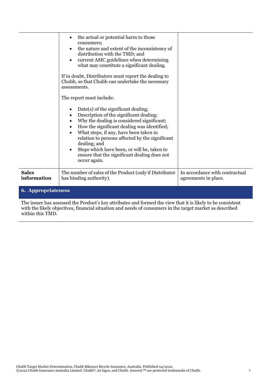|                                                                                                                                                                                                                         | the actual or potential harm to those<br>$\bullet$<br>consumers;<br>the nature and extent of the inconsistency of<br>$\bullet$<br>distribution with the TMD; and<br>current ASIC guidelines when determining<br>$\bullet$<br>what may constitute a significant dealing.<br>If in doubt, Distributors must report the dealing to<br>Chubb, so that Chubb can undertake the necessary<br>assessments.<br>The report must include:<br>Date(s) of the significant dealing;<br>$\bullet$<br>Description of the significant dealing;<br>٠<br>Why the dealing is considered significant;<br>$\bullet$<br>How the significant dealing was identified;<br>$\bullet$<br>What steps, if any, have been taken in<br>$\bullet$<br>relation to persons affected by the significant<br>dealing; and<br>Steps which have been, or will be, taken to<br>$\bullet$<br>ensure that the significant dealing does not<br>occur again. |                                                        |
|-------------------------------------------------------------------------------------------------------------------------------------------------------------------------------------------------------------------------|------------------------------------------------------------------------------------------------------------------------------------------------------------------------------------------------------------------------------------------------------------------------------------------------------------------------------------------------------------------------------------------------------------------------------------------------------------------------------------------------------------------------------------------------------------------------------------------------------------------------------------------------------------------------------------------------------------------------------------------------------------------------------------------------------------------------------------------------------------------------------------------------------------------|--------------------------------------------------------|
| <b>Sales</b><br>information                                                                                                                                                                                             | The number of sales of the Product (only if Distributor<br>has binding authority).                                                                                                                                                                                                                                                                                                                                                                                                                                                                                                                                                                                                                                                                                                                                                                                                                               | In accordance with contractual<br>agreements in place. |
| <b>6. Appropriateness</b>                                                                                                                                                                                               |                                                                                                                                                                                                                                                                                                                                                                                                                                                                                                                                                                                                                                                                                                                                                                                                                                                                                                                  |                                                        |
| The issuer has assessed the Product's key attributes and formed the view that it is likely to be consistent<br>with the likely objectives, financial situation and needs of consumers in the target market as described |                                                                                                                                                                                                                                                                                                                                                                                                                                                                                                                                                                                                                                                                                                                                                                                                                                                                                                                  |                                                        |

within this TMD.